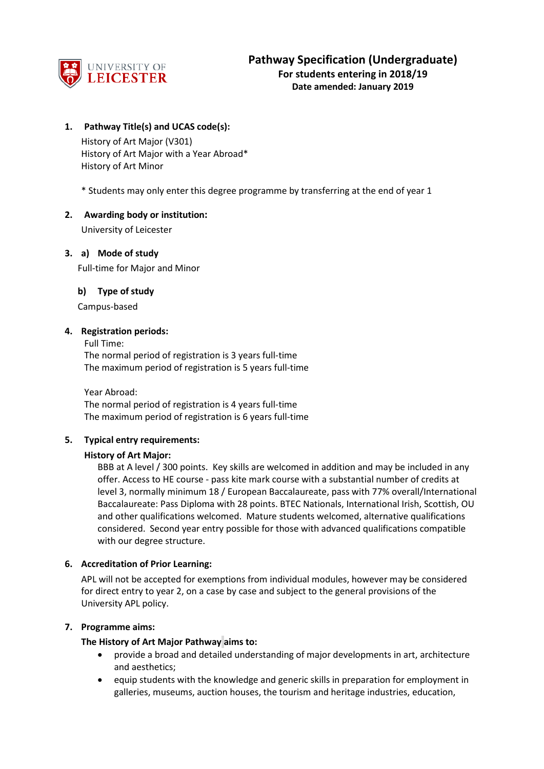

**Date amended: January 2019**

### **1. Pathway Title(s) and UCAS code(s):**

History of Art Major (V301) History of Art Major with a Year Abroad\* History of Art Minor

\* Students may only enter this degree programme by transferring at the end of year 1

#### **2. Awarding body or institution:**

University of Leicester

#### **3. a) Mode of study**

Full-time for Major and Minor

#### **b) Type of study**

Campus-based

#### **4. Registration periods:**

Full Time: The normal period of registration is 3 years full-time The maximum period of registration is 5 years full-time

Year Abroad: The normal period of registration is 4 years full-time The maximum period of registration is 6 years full-time

#### **5. Typical entry requirements:**

#### **History of Art Major:**

BBB at A level / 300 points. Key skills are welcomed in addition and may be included in any offer. Access to HE course - pass kite mark course with a substantial number of credits at level 3, normally minimum 18 / European Baccalaureate, pass with 77% overall/International Baccalaureate: Pass Diploma with 28 points. BTEC Nationals, International Irish, Scottish, OU and other qualifications welcomed. Mature students welcomed, alternative qualifications considered. Second year entry possible for those with advanced qualifications compatible with our degree structure.

#### **6. Accreditation of Prior Learning:**

APL will not be accepted for exemptions from individual modules, however may be considered for direct entry to year 2, on a case by case and subject to the general provisions of the University APL policy.

#### **7. Programme aims:**

#### **The History of Art Major Pathway aims to:**

- provide a broad and detailed understanding of major developments in art, architecture and aesthetics;
- equip students with the knowledge and generic skills in preparation for employment in galleries, museums, auction houses, the tourism and heritage industries, education,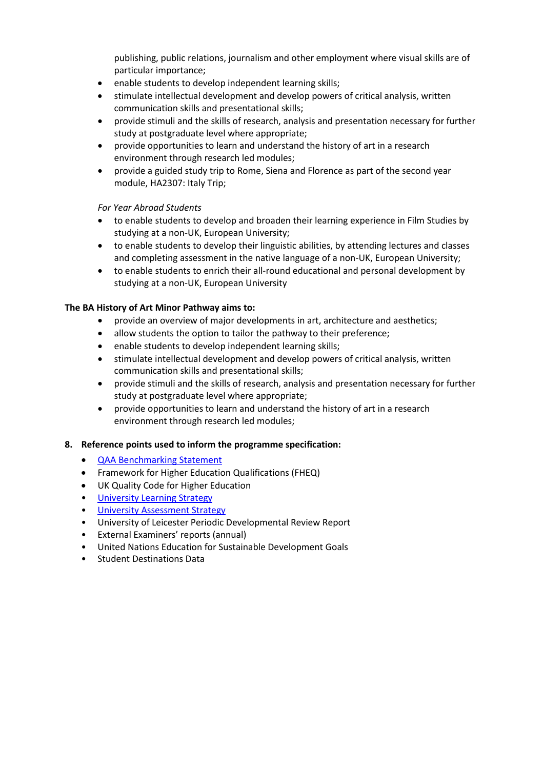publishing, public relations, journalism and other employment where visual skills are of particular importance;

- enable students to develop independent learning skills;
- stimulate intellectual development and develop powers of critical analysis, written communication skills and presentational skills;
- provide stimuli and the skills of research, analysis and presentation necessary for further study at postgraduate level where appropriate;
- provide opportunities to learn and understand the history of art in a research environment through research led modules;
- provide a guided study trip to Rome, Siena and Florence as part of the second year module, HA2307: Italy Trip;

*For Year Abroad Students*

- to enable students to develop and broaden their learning experience in Film Studies by studying at a non-UK, European University;
- to enable students to develop their linguistic abilities, by attending lectures and classes and completing assessment in the native language of a non-UK, European University;
- to enable students to enrich their all-round educational and personal development by studying at a non-UK, European University

## **The BA History of Art Minor Pathway aims to:**

- provide an overview of major developments in art, architecture and aesthetics;
- allow students the option to tailor the pathway to their preference;
- enable students to develop independent learning skills;
- stimulate intellectual development and develop powers of critical analysis, written communication skills and presentational skills;
- provide stimuli and the skills of research, analysis and presentation necessary for further study at postgraduate level where appropriate;
- provide opportunities to learn and understand the history of art in a research environment through research led modules;

## **8. Reference points used to inform the programme specification:**

- [QAA Benchmarking Statement](http://www.qaa.ac.uk/en/Publications/Documents/SBS-History-of-Art-Architecture-and-Design-17.pdf)
- Framework for Higher Education Qualifications (FHEQ)
- UK Quality Code for Higher Education
- University Learnin[g Strategy](https://www2.le.ac.uk/offices/sas2/quality/learnteach)
- [University Assessment Strategy](https://www2.le.ac.uk/offices/sas2/quality/learnteach)
- University of Leicester Periodic Developmental Review Report
- External Examiners' reports (annual)
- United Nations Education for Sustainable Development Goals
- Student Destinations Data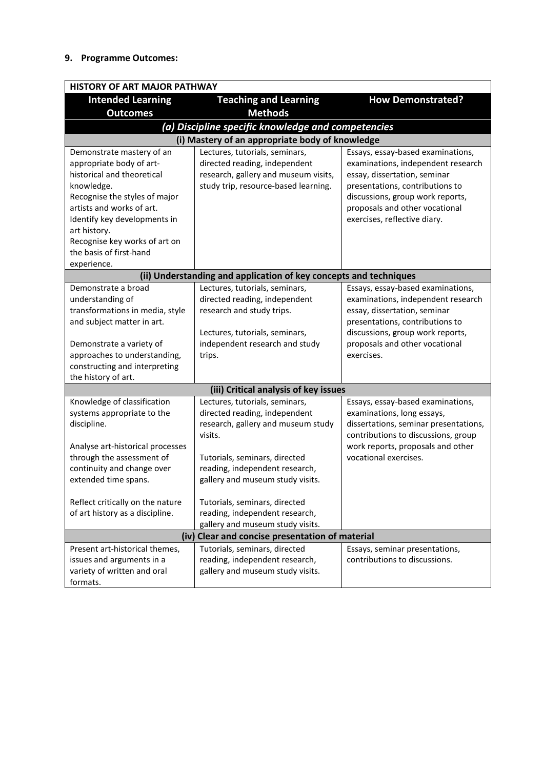### **9. Programme Outcomes:**

|                                                                                                                                                                                                                                                                                            | <b>HISTORY OF ART MAJOR PATHWAY</b>                                                                                                                                                                                                                                                        |                                                                                                                                                                                                                                                  |  |  |
|--------------------------------------------------------------------------------------------------------------------------------------------------------------------------------------------------------------------------------------------------------------------------------------------|--------------------------------------------------------------------------------------------------------------------------------------------------------------------------------------------------------------------------------------------------------------------------------------------|--------------------------------------------------------------------------------------------------------------------------------------------------------------------------------------------------------------------------------------------------|--|--|
| <b>Intended Learning</b>                                                                                                                                                                                                                                                                   | <b>Teaching and Learning</b>                                                                                                                                                                                                                                                               | <b>How Demonstrated?</b>                                                                                                                                                                                                                         |  |  |
| <b>Outcomes</b>                                                                                                                                                                                                                                                                            | <b>Methods</b>                                                                                                                                                                                                                                                                             |                                                                                                                                                                                                                                                  |  |  |
|                                                                                                                                                                                                                                                                                            | (a) Discipline specific knowledge and competencies                                                                                                                                                                                                                                         |                                                                                                                                                                                                                                                  |  |  |
| (i) Mastery of an appropriate body of knowledge                                                                                                                                                                                                                                            |                                                                                                                                                                                                                                                                                            |                                                                                                                                                                                                                                                  |  |  |
| Demonstrate mastery of an<br>appropriate body of art-<br>historical and theoretical<br>knowledge.<br>Recognise the styles of major<br>artists and works of art.<br>Identify key developments in<br>art history.<br>Recognise key works of art on<br>the basis of first-hand<br>experience. | Lectures, tutorials, seminars,<br>directed reading, independent<br>research, gallery and museum visits,<br>study trip, resource-based learning.                                                                                                                                            | Essays, essay-based examinations,<br>examinations, independent research<br>essay, dissertation, seminar<br>presentations, contributions to<br>discussions, group work reports,<br>proposals and other vocational<br>exercises, reflective diary. |  |  |
|                                                                                                                                                                                                                                                                                            | (ii) Understanding and application of key concepts and techniques                                                                                                                                                                                                                          |                                                                                                                                                                                                                                                  |  |  |
| Demonstrate a broad<br>understanding of<br>transformations in media, style<br>and subject matter in art.<br>Demonstrate a variety of<br>approaches to understanding,<br>constructing and interpreting<br>the history of art.                                                               | Lectures, tutorials, seminars,<br>directed reading, independent<br>research and study trips.<br>Lectures, tutorials, seminars,<br>independent research and study<br>trips.                                                                                                                 | Essays, essay-based examinations,<br>examinations, independent research<br>essay, dissertation, seminar<br>presentations, contributions to<br>discussions, group work reports,<br>proposals and other vocational<br>exercises.                   |  |  |
|                                                                                                                                                                                                                                                                                            | (iii) Critical analysis of key issues                                                                                                                                                                                                                                                      |                                                                                                                                                                                                                                                  |  |  |
| Knowledge of classification<br>systems appropriate to the<br>discipline.<br>Analyse art-historical processes<br>through the assessment of<br>continuity and change over<br>extended time spans.<br>Reflect critically on the nature<br>of art history as a discipline.                     | Lectures, tutorials, seminars,<br>directed reading, independent<br>research, gallery and museum study<br>visits.<br>Tutorials, seminars, directed<br>reading, independent research,<br>gallery and museum study visits.<br>Tutorials, seminars, directed<br>reading, independent research, | Essays, essay-based examinations,<br>examinations, long essays,<br>dissertations, seminar presentations,<br>contributions to discussions, group<br>work reports, proposals and other<br>vocational exercises.                                    |  |  |
|                                                                                                                                                                                                                                                                                            | gallery and museum study visits.                                                                                                                                                                                                                                                           |                                                                                                                                                                                                                                                  |  |  |
| (iv) Clear and concise presentation of material                                                                                                                                                                                                                                            |                                                                                                                                                                                                                                                                                            |                                                                                                                                                                                                                                                  |  |  |
| Present art-historical themes,<br>issues and arguments in a<br>variety of written and oral<br>formats.                                                                                                                                                                                     | Tutorials, seminars, directed<br>reading, independent research,<br>gallery and museum study visits.                                                                                                                                                                                        | Essays, seminar presentations,<br>contributions to discussions.                                                                                                                                                                                  |  |  |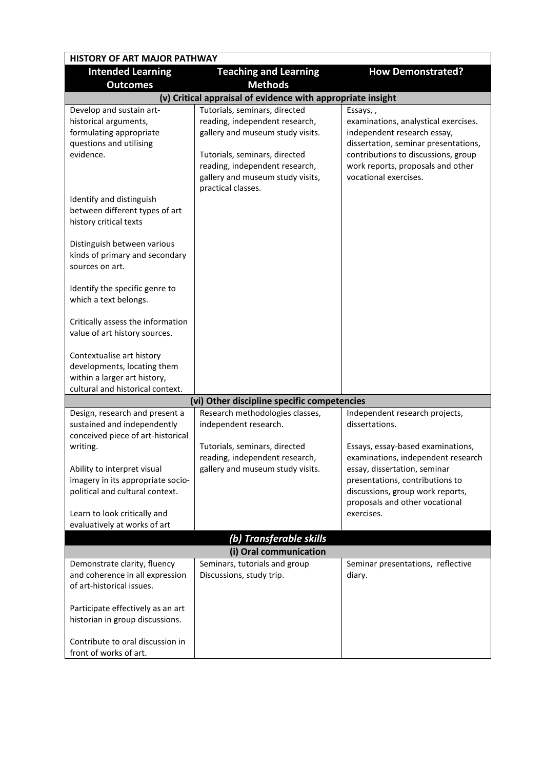| <b>HISTORY OF ART MAJOR PATHWAY</b>                                                                                          |                                                                                                                                                                                                                                  |                                                                                                                                                                                                                              |  |  |
|------------------------------------------------------------------------------------------------------------------------------|----------------------------------------------------------------------------------------------------------------------------------------------------------------------------------------------------------------------------------|------------------------------------------------------------------------------------------------------------------------------------------------------------------------------------------------------------------------------|--|--|
| <b>Intended Learning</b><br><b>Outcomes</b>                                                                                  | <b>Teaching and Learning</b><br><b>Methods</b>                                                                                                                                                                                   | <b>How Demonstrated?</b>                                                                                                                                                                                                     |  |  |
|                                                                                                                              | (v) Critical appraisal of evidence with appropriate insight                                                                                                                                                                      |                                                                                                                                                                                                                              |  |  |
| Develop and sustain art-<br>historical arguments,<br>formulating appropriate<br>questions and utilising<br>evidence.         | Tutorials, seminars, directed<br>reading, independent research,<br>gallery and museum study visits.<br>Tutorials, seminars, directed<br>reading, independent research,<br>gallery and museum study visits,<br>practical classes. | Essays,,<br>examinations, analystical exercises.<br>independent research essay,<br>dissertation, seminar presentations,<br>contributions to discussions, group<br>work reports, proposals and other<br>vocational exercises. |  |  |
| Identify and distinguish<br>between different types of art<br>history critical texts                                         |                                                                                                                                                                                                                                  |                                                                                                                                                                                                                              |  |  |
| Distinguish between various<br>kinds of primary and secondary<br>sources on art.                                             |                                                                                                                                                                                                                                  |                                                                                                                                                                                                                              |  |  |
| Identify the specific genre to<br>which a text belongs.                                                                      |                                                                                                                                                                                                                                  |                                                                                                                                                                                                                              |  |  |
| Critically assess the information<br>value of art history sources.                                                           |                                                                                                                                                                                                                                  |                                                                                                                                                                                                                              |  |  |
| Contextualise art history<br>developments, locating them<br>within a larger art history,<br>cultural and historical context. |                                                                                                                                                                                                                                  |                                                                                                                                                                                                                              |  |  |
|                                                                                                                              | (vi) Other discipline specific competencies                                                                                                                                                                                      |                                                                                                                                                                                                                              |  |  |
| Design, research and present a<br>sustained and independently<br>conceived piece of art-historical                           | Research methodologies classes,<br>independent research.                                                                                                                                                                         | Independent research projects,<br>dissertations.                                                                                                                                                                             |  |  |
| writing.                                                                                                                     | Tutorials, seminars, directed                                                                                                                                                                                                    | Essays, essay-based examinations,                                                                                                                                                                                            |  |  |
| Ability to interpret visual<br>imagery in its appropriate socio-<br>political and cultural context.                          | reading, independent research,<br>gallery and museum study visits.                                                                                                                                                               | examinations, independent research<br>essay, dissertation, seminar<br>presentations, contributions to<br>discussions, group work reports,<br>proposals and other vocational                                                  |  |  |
| Learn to look critically and<br>evaluatively at works of art                                                                 |                                                                                                                                                                                                                                  | exercises.                                                                                                                                                                                                                   |  |  |
|                                                                                                                              | (b) Transferable skills                                                                                                                                                                                                          |                                                                                                                                                                                                                              |  |  |
|                                                                                                                              | (i) Oral communication                                                                                                                                                                                                           |                                                                                                                                                                                                                              |  |  |
| Demonstrate clarity, fluency<br>and coherence in all expression<br>of art-historical issues.                                 | Seminars, tutorials and group<br>Discussions, study trip.                                                                                                                                                                        | Seminar presentations, reflective<br>diary.                                                                                                                                                                                  |  |  |
| Participate effectively as an art<br>historian in group discussions.                                                         |                                                                                                                                                                                                                                  |                                                                                                                                                                                                                              |  |  |
| Contribute to oral discussion in<br>front of works of art.                                                                   |                                                                                                                                                                                                                                  |                                                                                                                                                                                                                              |  |  |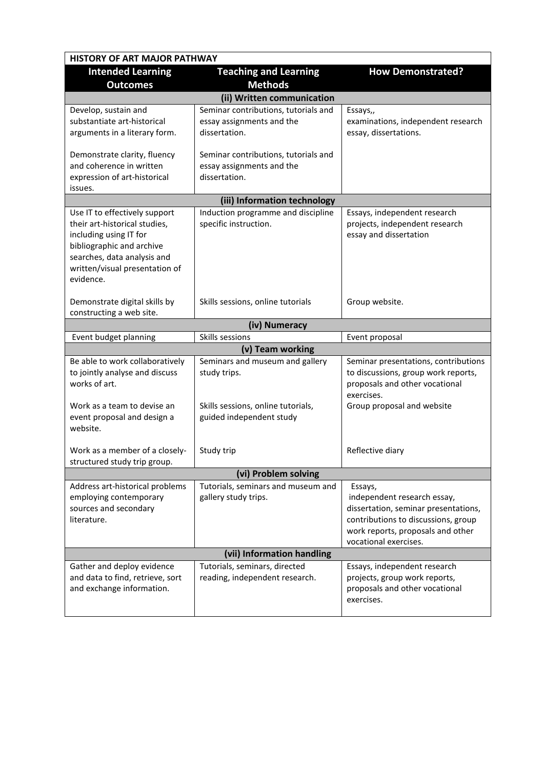| <b>HISTORY OF ART MAJOR PATHWAY</b>                                                                                                                                                                 |                                                                                                                   |                                                                                                                                                                                     |  |
|-----------------------------------------------------------------------------------------------------------------------------------------------------------------------------------------------------|-------------------------------------------------------------------------------------------------------------------|-------------------------------------------------------------------------------------------------------------------------------------------------------------------------------------|--|
| <b>Intended Learning</b><br><b>Outcomes</b>                                                                                                                                                         | <b>Teaching and Learning</b><br><b>Methods</b>                                                                    | <b>How Demonstrated?</b>                                                                                                                                                            |  |
|                                                                                                                                                                                                     | (ii) Written communication                                                                                        |                                                                                                                                                                                     |  |
| Develop, sustain and<br>substantiate art-historical<br>arguments in a literary form.                                                                                                                | Seminar contributions, tutorials and<br>essay assignments and the<br>dissertation.                                | Essays,,<br>examinations, independent research<br>essay, dissertations.                                                                                                             |  |
| Demonstrate clarity, fluency<br>and coherence in written<br>expression of art-historical<br>issues.                                                                                                 | Seminar contributions, tutorials and<br>essay assignments and the<br>dissertation.                                |                                                                                                                                                                                     |  |
|                                                                                                                                                                                                     | (iii) Information technology                                                                                      |                                                                                                                                                                                     |  |
| Use IT to effectively support<br>their art-historical studies,<br>including using IT for<br>bibliographic and archive<br>searches, data analysis and<br>written/visual presentation of<br>evidence. | Induction programme and discipline<br>specific instruction.                                                       | Essays, independent research<br>projects, independent research<br>essay and dissertation                                                                                            |  |
| Demonstrate digital skills by<br>constructing a web site.                                                                                                                                           | Skills sessions, online tutorials                                                                                 | Group website.                                                                                                                                                                      |  |
|                                                                                                                                                                                                     | (iv) Numeracy                                                                                                     |                                                                                                                                                                                     |  |
| Event budget planning                                                                                                                                                                               | Skills sessions                                                                                                   | Event proposal                                                                                                                                                                      |  |
|                                                                                                                                                                                                     | (v) Team working                                                                                                  |                                                                                                                                                                                     |  |
| Be able to work collaboratively<br>to jointly analyse and discuss<br>works of art.<br>Work as a team to devise an<br>event proposal and design a                                                    | Seminars and museum and gallery<br>study trips.<br>Skills sessions, online tutorials,<br>guided independent study | Seminar presentations, contributions<br>to discussions, group work reports,<br>proposals and other vocational<br>exercises.<br>Group proposal and website                           |  |
| website.<br>Work as a member of a closely-                                                                                                                                                          | Study trip                                                                                                        | Reflective diary                                                                                                                                                                    |  |
| structured study trip group.                                                                                                                                                                        |                                                                                                                   |                                                                                                                                                                                     |  |
| (vi) Problem solving                                                                                                                                                                                |                                                                                                                   |                                                                                                                                                                                     |  |
| Address art-historical problems<br>employing contemporary<br>sources and secondary<br>literature.                                                                                                   | Tutorials, seminars and museum and<br>gallery study trips.                                                        | Essays,<br>independent research essay,<br>dissertation, seminar presentations,<br>contributions to discussions, group<br>work reports, proposals and other<br>vocational exercises. |  |
|                                                                                                                                                                                                     | (vii) Information handling                                                                                        |                                                                                                                                                                                     |  |
| Gather and deploy evidence<br>and data to find, retrieve, sort<br>and exchange information.                                                                                                         | Tutorials, seminars, directed<br>reading, independent research.                                                   | Essays, independent research<br>projects, group work reports,<br>proposals and other vocational<br>exercises.                                                                       |  |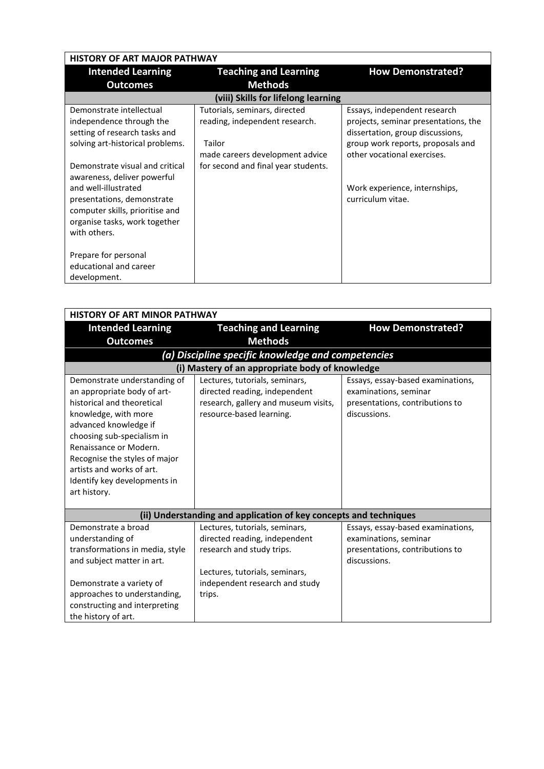| <b>HISTORY OF ART MAJOR PATHWAY</b>                                                                                                                                                                                                               |                                                                                                                                                     |                                                                                                                                                                                                                                    |  |
|---------------------------------------------------------------------------------------------------------------------------------------------------------------------------------------------------------------------------------------------------|-----------------------------------------------------------------------------------------------------------------------------------------------------|------------------------------------------------------------------------------------------------------------------------------------------------------------------------------------------------------------------------------------|--|
| <b>Intended Learning</b>                                                                                                                                                                                                                          | <b>Teaching and Learning</b>                                                                                                                        | <b>How Demonstrated?</b>                                                                                                                                                                                                           |  |
| <b>Outcomes</b>                                                                                                                                                                                                                                   | <b>Methods</b>                                                                                                                                      |                                                                                                                                                                                                                                    |  |
|                                                                                                                                                                                                                                                   | (viii) Skills for lifelong learning                                                                                                                 |                                                                                                                                                                                                                                    |  |
| Demonstrate intellectual<br>independence through the<br>setting of research tasks and<br>solving art-historical problems.<br>Demonstrate visual and critical<br>awareness, deliver powerful<br>and well-illustrated<br>presentations, demonstrate | Tutorials, seminars, directed<br>reading, independent research.<br>Tailor<br>made careers development advice<br>for second and final year students. | Essays, independent research<br>projects, seminar presentations, the<br>dissertation, group discussions,<br>group work reports, proposals and<br>other vocational exercises.<br>Work experience, internships,<br>curriculum vitae. |  |
| computer skills, prioritise and<br>organise tasks, work together<br>with others.<br>Prepare for personal<br>educational and career<br>development.                                                                                                |                                                                                                                                                     |                                                                                                                                                                                                                                    |  |

| <b>HISTORY OF ART MINOR PATHWAY</b>                                                                                                                                                                                                                                                                              |                                                                                                                                                                            |                                                                                                               |  |
|------------------------------------------------------------------------------------------------------------------------------------------------------------------------------------------------------------------------------------------------------------------------------------------------------------------|----------------------------------------------------------------------------------------------------------------------------------------------------------------------------|---------------------------------------------------------------------------------------------------------------|--|
| <b>Intended Learning</b>                                                                                                                                                                                                                                                                                         | <b>Teaching and Learning</b>                                                                                                                                               | <b>How Demonstrated?</b>                                                                                      |  |
| <b>Outcomes</b>                                                                                                                                                                                                                                                                                                  | <b>Methods</b>                                                                                                                                                             |                                                                                                               |  |
|                                                                                                                                                                                                                                                                                                                  | (a) Discipline specific knowledge and competencies                                                                                                                         |                                                                                                               |  |
|                                                                                                                                                                                                                                                                                                                  | (i) Mastery of an appropriate body of knowledge                                                                                                                            |                                                                                                               |  |
| Demonstrate understanding of<br>an appropriate body of art-<br>historical and theoretical<br>knowledge, with more<br>advanced knowledge if<br>choosing sub-specialism in<br>Renaissance or Modern.<br>Recognise the styles of major<br>artists and works of art.<br>Identify key developments in<br>art history. | Lectures, tutorials, seminars,<br>directed reading, independent<br>research, gallery and museum visits,<br>resource-based learning.                                        | Essays, essay-based examinations,<br>examinations, seminar<br>presentations, contributions to<br>discussions. |  |
|                                                                                                                                                                                                                                                                                                                  | (ii) Understanding and application of key concepts and techniques                                                                                                          |                                                                                                               |  |
| Demonstrate a broad<br>understanding of<br>transformations in media, style<br>and subject matter in art.<br>Demonstrate a variety of<br>approaches to understanding,<br>constructing and interpreting<br>the history of art.                                                                                     | Lectures, tutorials, seminars,<br>directed reading, independent<br>research and study trips.<br>Lectures, tutorials, seminars,<br>independent research and study<br>trips. | Essays, essay-based examinations,<br>examinations, seminar<br>presentations, contributions to<br>discussions. |  |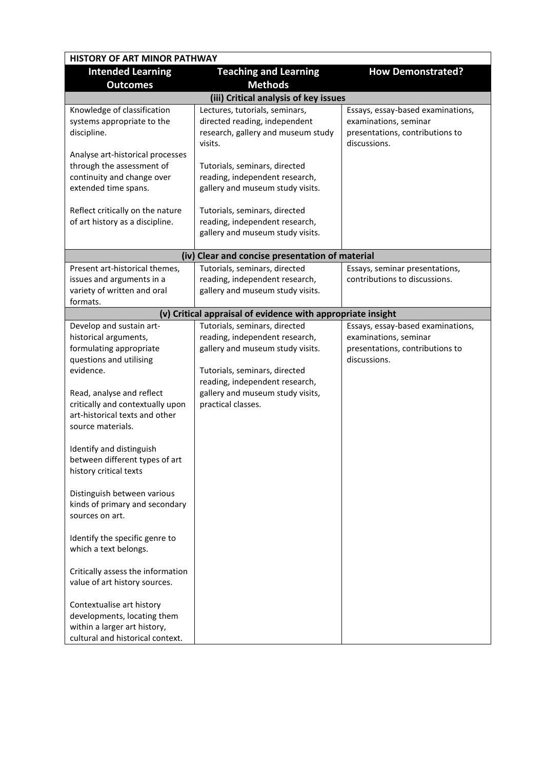| <b>HISTORY OF ART MINOR PATHWAY</b>                                                                                                                                                                                                          |                                                                                                                                                                                                                                  |                                                                                                               |  |
|----------------------------------------------------------------------------------------------------------------------------------------------------------------------------------------------------------------------------------------------|----------------------------------------------------------------------------------------------------------------------------------------------------------------------------------------------------------------------------------|---------------------------------------------------------------------------------------------------------------|--|
| <b>Intended Learning</b><br><b>Outcomes</b>                                                                                                                                                                                                  | <b>Teaching and Learning</b><br><b>Methods</b>                                                                                                                                                                                   | <b>How Demonstrated?</b>                                                                                      |  |
|                                                                                                                                                                                                                                              | (iii) Critical analysis of key issues                                                                                                                                                                                            |                                                                                                               |  |
| Knowledge of classification<br>systems appropriate to the<br>discipline.<br>Analyse art-historical processes<br>through the assessment of<br>continuity and change over                                                                      | Lectures, tutorials, seminars,<br>directed reading, independent<br>research, gallery and museum study<br>visits.<br>Tutorials, seminars, directed<br>reading, independent research,                                              | Essays, essay-based examinations,<br>examinations, seminar<br>presentations, contributions to<br>discussions. |  |
| extended time spans.<br>Reflect critically on the nature<br>of art history as a discipline.                                                                                                                                                  | gallery and museum study visits.<br>Tutorials, seminars, directed<br>reading, independent research,<br>gallery and museum study visits.                                                                                          |                                                                                                               |  |
|                                                                                                                                                                                                                                              |                                                                                                                                                                                                                                  |                                                                                                               |  |
|                                                                                                                                                                                                                                              | (iv) Clear and concise presentation of material                                                                                                                                                                                  |                                                                                                               |  |
| Present art-historical themes,<br>issues and arguments in a<br>variety of written and oral<br>formats.                                                                                                                                       | Tutorials, seminars, directed<br>reading, independent research,<br>gallery and museum study visits.                                                                                                                              | Essays, seminar presentations,<br>contributions to discussions.                                               |  |
|                                                                                                                                                                                                                                              | (v) Critical appraisal of evidence with appropriate insight                                                                                                                                                                      |                                                                                                               |  |
| Develop and sustain art-<br>historical arguments,<br>formulating appropriate<br>questions and utilising<br>evidence.<br>Read, analyse and reflect<br>critically and contextually upon<br>art-historical texts and other<br>source materials. | Tutorials, seminars, directed<br>reading, independent research,<br>gallery and museum study visits.<br>Tutorials, seminars, directed<br>reading, independent research,<br>gallery and museum study visits,<br>practical classes. | Essays, essay-based examinations,<br>examinations, seminar<br>presentations, contributions to<br>discussions. |  |
| Identify and distinguish<br>between different types of art<br>history critical texts<br>Distinguish between various<br>kinds of primary and secondary<br>sources on art.                                                                     |                                                                                                                                                                                                                                  |                                                                                                               |  |
| Identify the specific genre to<br>which a text belongs.<br>Critically assess the information<br>value of art history sources.                                                                                                                |                                                                                                                                                                                                                                  |                                                                                                               |  |
| Contextualise art history<br>developments, locating them<br>within a larger art history,<br>cultural and historical context.                                                                                                                 |                                                                                                                                                                                                                                  |                                                                                                               |  |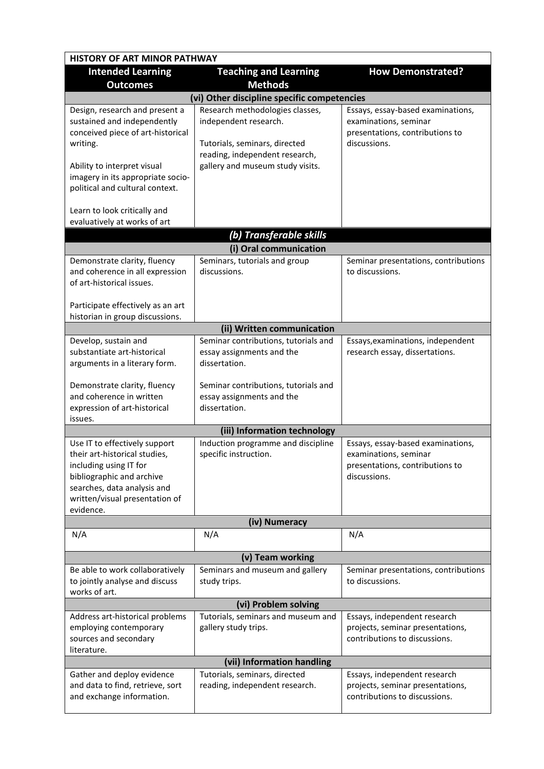| <b>HISTORY OF ART MINOR PATHWAY</b>                                                                                                                                                                                   |                                                                                                                                                                 |                                                                                                               |  |
|-----------------------------------------------------------------------------------------------------------------------------------------------------------------------------------------------------------------------|-----------------------------------------------------------------------------------------------------------------------------------------------------------------|---------------------------------------------------------------------------------------------------------------|--|
| <b>Intended Learning</b><br><b>Outcomes</b>                                                                                                                                                                           | <b>Teaching and Learning</b><br><b>Methods</b>                                                                                                                  | <b>How Demonstrated?</b>                                                                                      |  |
|                                                                                                                                                                                                                       | (vi) Other discipline specific competencies                                                                                                                     |                                                                                                               |  |
| Design, research and present a<br>sustained and independently<br>conceived piece of art-historical<br>writing.<br>Ability to interpret visual<br>imagery in its appropriate socio-<br>political and cultural context. | Research methodologies classes,<br>independent research.<br>Tutorials, seminars, directed<br>reading, independent research,<br>gallery and museum study visits. | Essays, essay-based examinations,<br>examinations, seminar<br>presentations, contributions to<br>discussions. |  |
| Learn to look critically and<br>evaluatively at works of art                                                                                                                                                          |                                                                                                                                                                 |                                                                                                               |  |
|                                                                                                                                                                                                                       | (b) Transferable skills                                                                                                                                         |                                                                                                               |  |
|                                                                                                                                                                                                                       | (i) Oral communication                                                                                                                                          |                                                                                                               |  |
| Demonstrate clarity, fluency                                                                                                                                                                                          | Seminars, tutorials and group                                                                                                                                   | Seminar presentations, contributions                                                                          |  |
| and coherence in all expression<br>of art-historical issues.                                                                                                                                                          | discussions.                                                                                                                                                    | to discussions.                                                                                               |  |
| Participate effectively as an art<br>historian in group discussions.                                                                                                                                                  |                                                                                                                                                                 |                                                                                                               |  |
|                                                                                                                                                                                                                       | (ii) Written communication                                                                                                                                      |                                                                                                               |  |
| Develop, sustain and                                                                                                                                                                                                  | Seminar contributions, tutorials and                                                                                                                            | Essays, examinations, independent                                                                             |  |
| substantiate art-historical<br>arguments in a literary form.                                                                                                                                                          | essay assignments and the<br>dissertation.                                                                                                                      | research essay, dissertations.                                                                                |  |
| Demonstrate clarity, fluency<br>and coherence in written<br>expression of art-historical<br>issues.                                                                                                                   | Seminar contributions, tutorials and<br>essay assignments and the<br>dissertation.                                                                              |                                                                                                               |  |
|                                                                                                                                                                                                                       | (iii) Information technology                                                                                                                                    |                                                                                                               |  |
| Use IT to effectively support<br>their art-historical studies,<br>including using IT for<br>bibliographic and archive<br>searches, data analysis and<br>written/visual presentation of<br>evidence.                   | Induction programme and discipline<br>specific instruction.                                                                                                     | Essays, essay-based examinations,<br>examinations, seminar<br>presentations, contributions to<br>discussions. |  |
|                                                                                                                                                                                                                       | (iv) Numeracy                                                                                                                                                   |                                                                                                               |  |
| N/A                                                                                                                                                                                                                   | N/A                                                                                                                                                             | N/A                                                                                                           |  |
|                                                                                                                                                                                                                       | (v) Team working                                                                                                                                                |                                                                                                               |  |
| Be able to work collaboratively<br>to jointly analyse and discuss<br>works of art.                                                                                                                                    | Seminars and museum and gallery<br>study trips.                                                                                                                 | Seminar presentations, contributions<br>to discussions.                                                       |  |
| (vi) Problem solving                                                                                                                                                                                                  |                                                                                                                                                                 |                                                                                                               |  |
| Address art-historical problems<br>employing contemporary<br>sources and secondary<br>literature.                                                                                                                     | Tutorials, seminars and museum and<br>gallery study trips.                                                                                                      | Essays, independent research<br>projects, seminar presentations,<br>contributions to discussions.             |  |
|                                                                                                                                                                                                                       | (vii) Information handling                                                                                                                                      |                                                                                                               |  |
| Gather and deploy evidence<br>and data to find, retrieve, sort<br>and exchange information.                                                                                                                           | Tutorials, seminars, directed<br>reading, independent research.                                                                                                 | Essays, independent research<br>projects, seminar presentations,<br>contributions to discussions.             |  |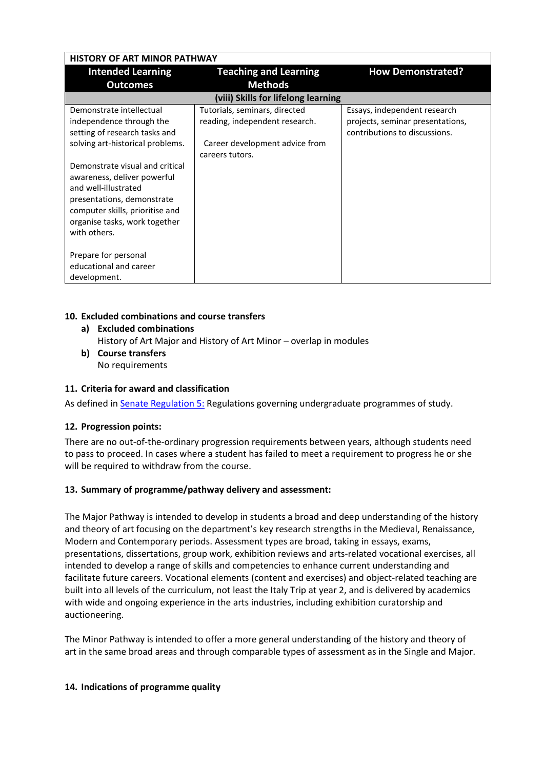| <b>HISTORY OF ART MINOR PATHWAY</b>                                                                                                                                                                                                                                                                                                                           |                                                                                                                      |                                                                                                   |  |
|---------------------------------------------------------------------------------------------------------------------------------------------------------------------------------------------------------------------------------------------------------------------------------------------------------------------------------------------------------------|----------------------------------------------------------------------------------------------------------------------|---------------------------------------------------------------------------------------------------|--|
| <b>Intended Learning</b>                                                                                                                                                                                                                                                                                                                                      | <b>Teaching and Learning</b>                                                                                         | <b>How Demonstrated?</b>                                                                          |  |
| <b>Outcomes</b>                                                                                                                                                                                                                                                                                                                                               | <b>Methods</b>                                                                                                       |                                                                                                   |  |
|                                                                                                                                                                                                                                                                                                                                                               | (viii) Skills for lifelong learning                                                                                  |                                                                                                   |  |
| Demonstrate intellectual<br>independence through the<br>setting of research tasks and<br>solving art-historical problems.<br>Demonstrate visual and critical<br>awareness, deliver powerful<br>and well-illustrated<br>presentations, demonstrate<br>computer skills, prioritise and<br>organise tasks, work together<br>with others.<br>Prepare for personal | Tutorials, seminars, directed<br>reading, independent research.<br>Career development advice from<br>careers tutors. | Essays, independent research<br>projects, seminar presentations,<br>contributions to discussions. |  |
| educational and career<br>development.                                                                                                                                                                                                                                                                                                                        |                                                                                                                      |                                                                                                   |  |

## **10. Excluded combinations and course transfers**

- **a) Excluded combinations** History of Art Major and History of Art Minor – overlap in modules
- **b) Course transfers** No requirements

## **11. Criteria for award and classification**

As defined in **Senate Regulation 5:** Regulations governing undergraduate programmes of study.

## **12. Progression points:**

There are no out-of-the-ordinary progression requirements between years, although students need to pass to proceed. In cases where a student has failed to meet a requirement to progress he or she will be required to withdraw from the course.

## **13. Summary of programme/pathway delivery and assessment:**

The Major Pathway is intended to develop in students a broad and deep understanding of the history and theory of art focusing on the department's key research strengths in the Medieval, Renaissance, Modern and Contemporary periods. Assessment types are broad, taking in essays, exams, presentations, dissertations, group work, exhibition reviews and arts-related vocational exercises, all intended to develop a range of skills and competencies to enhance current understanding and facilitate future careers. Vocational elements (content and exercises) and object-related teaching are built into all levels of the curriculum, not least the Italy Trip at year 2, and is delivered by academics with wide and ongoing experience in the arts industries, including exhibition curatorship and auctioneering.

The Minor Pathway is intended to offer a more general understanding of the history and theory of art in the same broad areas and through comparable types of assessment as in the Single and Major.

## **14. Indications of programme quality**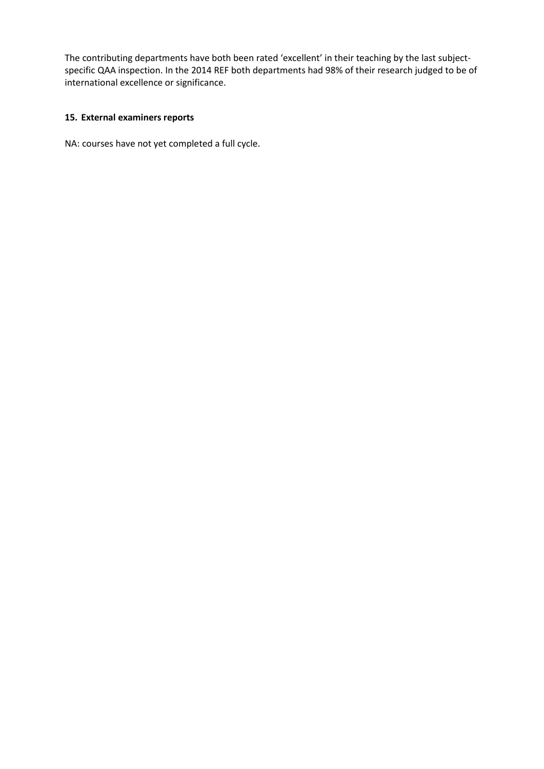The contributing departments have both been rated 'excellent' in their teaching by the last subjectspecific QAA inspection. In the 2014 REF both departments had 98% of their research judged to be of international excellence or significance.

## **15. External examiners reports**

NA: courses have not yet completed a full cycle.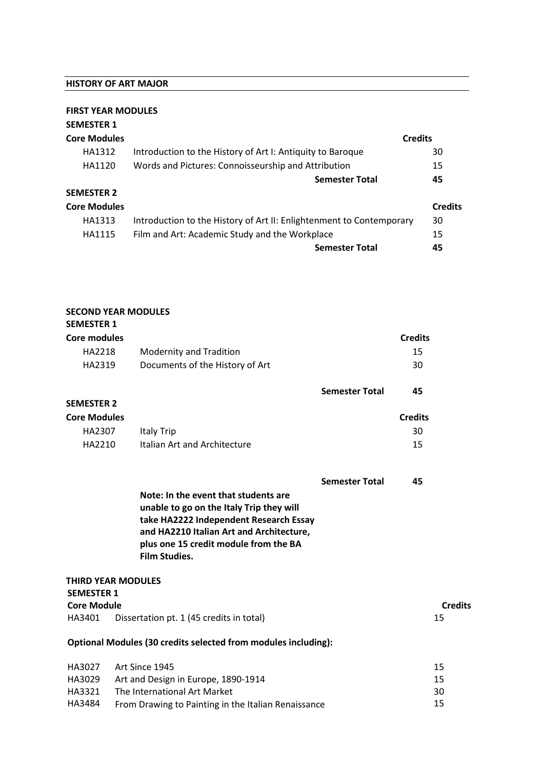#### **HISTORY OF ART MAJOR**

**SECOND YEAR MODULES**

#### **FIRST YEAR MODULES**

| <b>SEMESTER 1</b>   |                                                                      |                |
|---------------------|----------------------------------------------------------------------|----------------|
| <b>Core Modules</b> |                                                                      | <b>Credits</b> |
| HA1312              | Introduction to the History of Art I: Antiquity to Baroque           | 30             |
| HA1120              | Words and Pictures: Connoisseurship and Attribution                  | 15             |
|                     | <b>Semester Total</b>                                                | 45             |
| <b>SEMESTER 2</b>   |                                                                      |                |
| <b>Core Modules</b> |                                                                      | <b>Credits</b> |
| HA1313              | Introduction to the History of Art II: Enlightenment to Contemporary | 30             |
| HA1115              | Film and Art: Academic Study and the Workplace                       | 15             |
|                     | <b>Semester Total</b>                                                | 45             |

## **SEMESTER 1 Core modules Credits** HA2218 Modernity and Tradition 15 HA2319 Documents of the History of Art 30 **Semester Total 45 SEMESTER 2 Core Modules Credits** HA2307 Italy Trip 30 HA2210 Italian Art and Architecture 15 **Semester Total 45 Note: In the event that students are unable to go on the Italy Trip they will take HA2222 Independent Research Essay and HA2210 Italian Art and Architecture, plus one 15 credit module from the BA Film Studies. THIRD YEAR MODULES SEMESTER 1 Core Module Credits** HA3401 Dissertation pt. 1 (45 credits in total) 15 **Optional Modules (30 credits selected from modules including):** HA3027 Art Since 1945 15

|        | HA3UZ/ Art Since 1945                               | 15. |
|--------|-----------------------------------------------------|-----|
| HA3029 | Art and Design in Europe, 1890-1914                 | 15  |
| HA3321 | The International Art Market                        | 30  |
| HA3484 | From Drawing to Painting in the Italian Renaissance | 15  |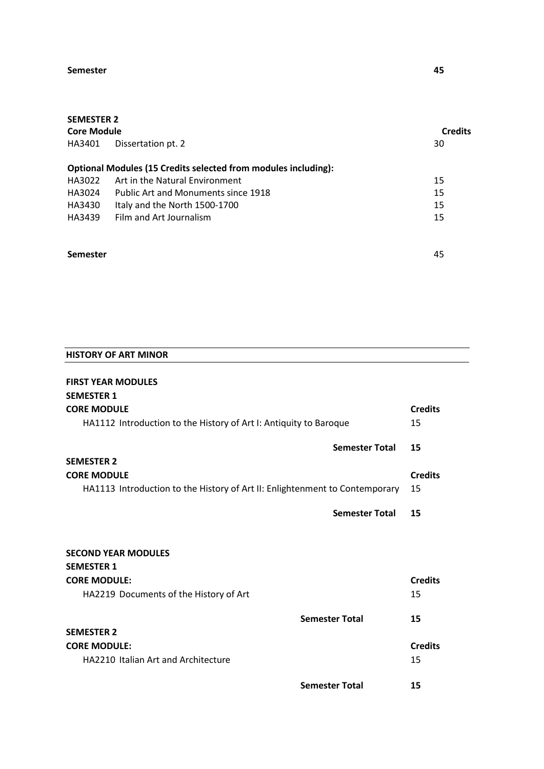#### **Semester** 45

# **SEMESTER 2**

| SEIVIESTEK Z       |                                                                       |                |
|--------------------|-----------------------------------------------------------------------|----------------|
| <b>Core Module</b> |                                                                       | <b>Credits</b> |
| HA3401             | Dissertation pt. 2                                                    | 30             |
|                    | <b>Optional Modules (15 Credits selected from modules including):</b> |                |
| HA3022             | Art in the Natural Environment                                        | 15             |
| HA3024             | Public Art and Monuments since 1918                                   | 15             |
| HA3430             | Italy and the North 1500-1700                                         | 15             |
| HA3439             | Film and Art Journalism                                               | 15             |
| <b>Semester</b>    |                                                                       | 45             |

| <b>HISTORY OF ART MINOR</b>                                                 |                |
|-----------------------------------------------------------------------------|----------------|
| <b>FIRST YEAR MODULES</b>                                                   |                |
| <b>SEMESTER 1</b>                                                           |                |
| <b>CORE MODULE</b>                                                          | <b>Credits</b> |
|                                                                             |                |
| HA1112 Introduction to the History of Art I: Antiquity to Baroque           | 15             |
| <b>Semester Total</b>                                                       | 15             |
| <b>SEMESTER 2</b>                                                           |                |
| <b>CORE MODULE</b>                                                          | <b>Credits</b> |
|                                                                             | 15             |
| HA1113 Introduction to the History of Art II: Enlightenment to Contemporary |                |
| <b>Semester Total</b>                                                       | 15             |
|                                                                             |                |
|                                                                             |                |
| <b>SECOND YEAR MODULES</b>                                                  |                |
| <b>SEMESTER 1</b>                                                           |                |
| <b>CORE MODULE:</b>                                                         | <b>Credits</b> |
| HA2219 Documents of the History of Art                                      | 15             |
|                                                                             |                |
| <b>Semester Total</b>                                                       | 15             |
| <b>SEMESTER 2</b>                                                           |                |
| <b>CORE MODULE:</b>                                                         | <b>Credits</b> |
| <b>HA2210 Italian Art and Architecture</b>                                  | 15             |
|                                                                             |                |
| <b>Semester Total</b>                                                       | 15             |

i,